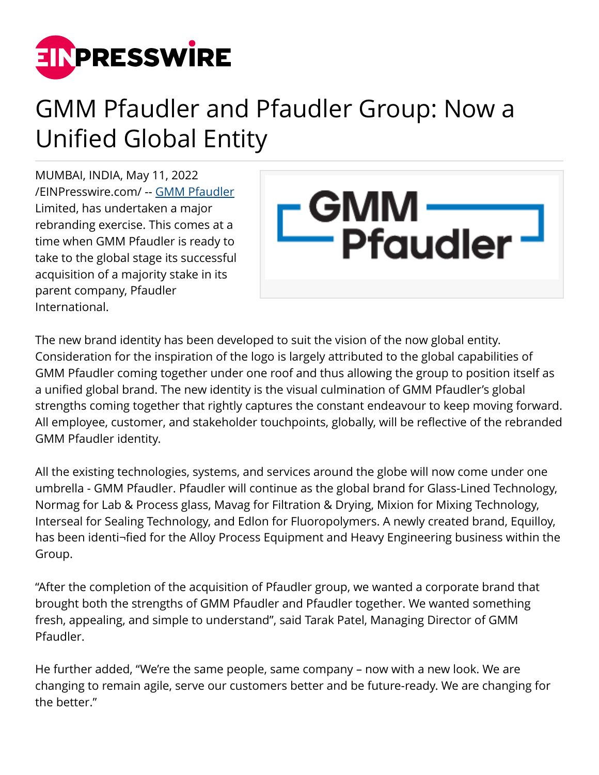

## GMM Pfaudler and Pfaudler Group: Now a Unified Global Entity

MUMBAI, INDIA, May 11, 2022 [/EINPresswire.com/](http://www.einpresswire.com) -- [GMM Pfaudler](https://www.gmmpfaudler.com/) Limited, has undertaken a major rebranding exercise. This comes at a time when GMM Pfaudler is ready to take to the global stage its successful acquisition of a majority stake in its parent company, Pfaudler International.



The new brand identity has been developed to suit the vision of the now global entity. Consideration for the inspiration of the logo is largely attributed to the global capabilities of GMM Pfaudler coming together under one roof and thus allowing the group to position itself as a unified global brand. The new identity is the visual culmination of GMM Pfaudler's global strengths coming together that rightly captures the constant endeavour to keep moving forward. All employee, customer, and stakeholder touchpoints, globally, will be reflective of the rebranded GMM Pfaudler identity.

All the existing technologies, systems, and services around the globe will now come under one umbrella - GMM Pfaudler. Pfaudler will continue as the global brand for Glass-Lined Technology, Normag for Lab & Process glass, Mavag for Filtration & Drying, Mixion for Mixing Technology, Interseal for Sealing Technology, and Edlon for Fluoropolymers. A newly created brand, Equilloy, has been identi¬fied for the Alloy Process Equipment and Heavy Engineering business within the Group.

"After the completion of the acquisition of Pfaudler group, we wanted a corporate brand that brought both the strengths of GMM Pfaudler and Pfaudler together. We wanted something fresh, appealing, and simple to understand", said Tarak Patel, Managing Director of GMM Pfaudler.

He further added, "We're the same people, same company – now with a new look. We are changing to remain agile, serve our customers better and be future-ready. We are changing for the better."